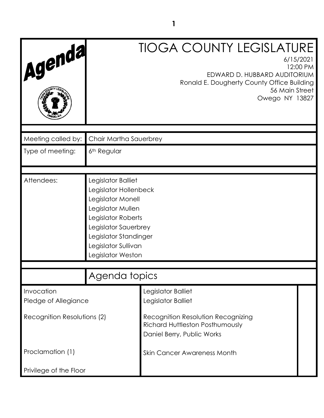| Agenda                             |                                                                                                                                                                                                          | <b>TIOGA COUNTY LEGISLATURE</b><br>6/15/2021<br>12:00 PM<br>EDWARD D. HUBBARD AUDITORIUM<br>Ronald E. Dougherty County Office Building<br>56 Main Street<br>Owego NY 13827 |
|------------------------------------|----------------------------------------------------------------------------------------------------------------------------------------------------------------------------------------------------------|----------------------------------------------------------------------------------------------------------------------------------------------------------------------------|
| Meeting called by:                 | Chair Martha Sauerbrey                                                                                                                                                                                   |                                                                                                                                                                            |
| Type of meeting:                   | 6 <sup>th</sup> Regular                                                                                                                                                                                  |                                                                                                                                                                            |
| Attendees:                         | Legislator Balliet<br>Legislator Hollenbeck<br>Legislator Monell<br>Legislator Mullen<br>Legislator Roberts<br>Legislator Sauerbrey<br>Legislator Standinger<br>Legislator Sullivan<br>Legislator Weston |                                                                                                                                                                            |
|                                    | Agenda topics                                                                                                                                                                                            |                                                                                                                                                                            |
| Invocation<br>Pledge of Allegiance |                                                                                                                                                                                                          | Legislator Balliet<br>Legislator Balliet                                                                                                                                   |
| Recognition Resolutions (2)        |                                                                                                                                                                                                          | Recognition Resolution Recognizing<br><b>Richard Huttleston Posthumously</b><br>Daniel Berry, Public Works                                                                 |
| Proclamation (1)                   |                                                                                                                                                                                                          | <b>Skin Cancer Awareness Month</b>                                                                                                                                         |
| Privilege of the Floor             |                                                                                                                                                                                                          |                                                                                                                                                                            |

**1**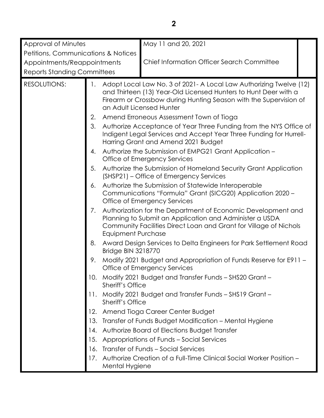| Approval of Minutes                            |                                                                                                                                                                                                                                                                                                                                                                                            |                           | May 11 and 20, 2021                                                                                                                                                                                                                     |  |
|------------------------------------------------|--------------------------------------------------------------------------------------------------------------------------------------------------------------------------------------------------------------------------------------------------------------------------------------------------------------------------------------------------------------------------------------------|---------------------------|-----------------------------------------------------------------------------------------------------------------------------------------------------------------------------------------------------------------------------------------|--|
| <b>Petitions, Communications &amp; Notices</b> |                                                                                                                                                                                                                                                                                                                                                                                            |                           |                                                                                                                                                                                                                                         |  |
| Appointments/Reappointments                    |                                                                                                                                                                                                                                                                                                                                                                                            |                           | <b>Chief Information Officer Search Committee</b>                                                                                                                                                                                       |  |
| <b>Reports Standing Committees</b>             |                                                                                                                                                                                                                                                                                                                                                                                            |                           |                                                                                                                                                                                                                                         |  |
| <b>RESOLUTIONS:</b>                            | 1.                                                                                                                                                                                                                                                                                                                                                                                         |                           | Adopt Local Law No. 3 of 2021 - A Local Law Authorizing Twelve (12)<br>and Thirteen (13) Year-Old Licensed Hunters to Hunt Deer with a<br>Firearm or Crossbow during Hunting Season with the Supervision of<br>an Adult Licensed Hunter |  |
|                                                | 2.                                                                                                                                                                                                                                                                                                                                                                                         |                           | Amend Erroneous Assessment Town of Tioga                                                                                                                                                                                                |  |
|                                                | 3.                                                                                                                                                                                                                                                                                                                                                                                         |                           | Authorize Acceptance of Year Three Funding from the NYS Office of<br>Indigent Legal Services and Accept Year Three Funding for Hurrell-<br>Harring Grant and Amend 2021 Budget                                                          |  |
|                                                | 4.                                                                                                                                                                                                                                                                                                                                                                                         |                           | Authorize the Submission of EMPG21 Grant Application -<br>Office of Emergency Services                                                                                                                                                  |  |
|                                                | 5.                                                                                                                                                                                                                                                                                                                                                                                         |                           | Authorize the Submission of Homeland Security Grant Application<br>(SHSP21) – Office of Emergency Services                                                                                                                              |  |
|                                                | Authorize the Submission of Statewide Interoperable<br>6.<br>Communications "Formula" Grant (SICG20) Application 2020 -<br>Office of Emergency Services<br>Authorization for the Department of Economic Development and<br>7.<br>Planning to Submit an Application and Administer a USDA<br>Community Facilities Direct Loan and Grant for Village of Nichols<br><b>Equipment Purchase</b> |                           |                                                                                                                                                                                                                                         |  |
|                                                |                                                                                                                                                                                                                                                                                                                                                                                            |                           |                                                                                                                                                                                                                                         |  |
|                                                | 8.                                                                                                                                                                                                                                                                                                                                                                                         | <b>Bridge BIN 3218770</b> | Award Design Services to Delta Engineers for Park Settlement Road                                                                                                                                                                       |  |
|                                                | 9.                                                                                                                                                                                                                                                                                                                                                                                         |                           | Modify 2021 Budget and Appropriation of Funds Reserve for E911 -<br>Office of Emergency Services                                                                                                                                        |  |
|                                                | 10.                                                                                                                                                                                                                                                                                                                                                                                        | <b>Sheriff's Office</b>   | Modify 2021 Budget and Transfer Funds - SHS20 Grant -                                                                                                                                                                                   |  |
|                                                |                                                                                                                                                                                                                                                                                                                                                                                            | Sheriff's Office          | Modify 2021 Budget and Transfer Funds - SHS19 Grant -                                                                                                                                                                                   |  |
|                                                |                                                                                                                                                                                                                                                                                                                                                                                            |                           | 12. Amend Tioga Career Center Budget                                                                                                                                                                                                    |  |
|                                                |                                                                                                                                                                                                                                                                                                                                                                                            |                           | 13. Transfer of Funds Budget Modification - Mental Hygiene                                                                                                                                                                              |  |
|                                                |                                                                                                                                                                                                                                                                                                                                                                                            |                           | 14. Authorize Board of Elections Budget Transfer                                                                                                                                                                                        |  |
|                                                |                                                                                                                                                                                                                                                                                                                                                                                            |                           | 15. Appropriations of Funds - Social Services                                                                                                                                                                                           |  |
|                                                |                                                                                                                                                                                                                                                                                                                                                                                            |                           | 16. Transfer of Funds - Social Services                                                                                                                                                                                                 |  |
|                                                | 17.                                                                                                                                                                                                                                                                                                                                                                                        | Mental Hygiene            | Authorize Creation of a Full-Time Clinical Social Worker Position -                                                                                                                                                                     |  |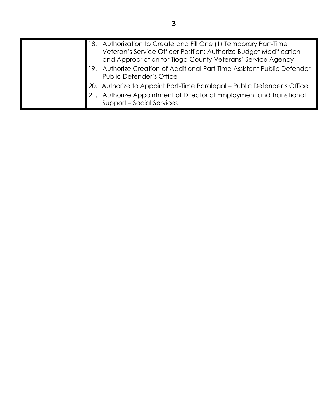|  | 18. Authorization to Create and Fill One (1) Temporary Part-Time<br>Veteran's Service Officer Position; Authorize Budget Modification<br>and Appropriation for Tioga County Veterans' Service Agency |
|--|------------------------------------------------------------------------------------------------------------------------------------------------------------------------------------------------------|
|  | 19. Authorize Creation of Additional Part-Time Assistant Public Defender-<br><b>Public Defender's Office</b>                                                                                         |
|  | 20. Authorize to Appoint Part-Time Paralegal - Public Defender's Office<br>Authorize Appointment of Director of Employment and Transitional<br>Support - Social Services                             |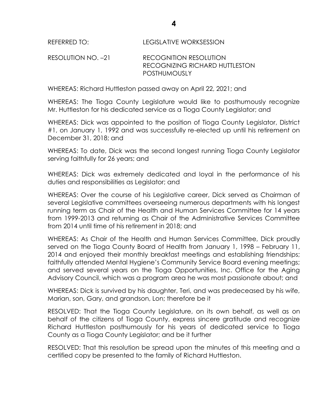REFERRED TO: LEGISLATIVE WORKSESSION

# RESOLUTION NO. –21 RECOGNITION RESOLUTION RECOGNIZING RICHARD HUTTLESTON POSTHUMOUSLY

WHEREAS: Richard Huttleston passed away on April 22, 2021; and

WHEREAS: The Tioga County Legislature would like to posthumously recognize Mr. Huttleston for his dedicated service as a Tioga County Legislator; and

WHEREAS: Dick was appointed to the position of Tioga County Legislator, District #1, on January 1, 1992 and was successfully re-elected up until his retirement on December 31, 2018; and

WHEREAS: To date, Dick was the second longest running Tioga County Legislator serving faithfully for 26 years; and

WHEREAS: Dick was extremely dedicated and loyal in the performance of his duties and responsibilities as Legislator; and

WHEREAS: Over the course of his Legislative career, Dick served as Chairman of several Legislative committees overseeing numerous departments with his longest running term as Chair of the Health and Human Services Committee for 14 years from 1999-2013 and returning as Chair of the Administrative Services Committee from 2014 until time of his retirement in 2018; and

WHEREAS: As Chair of the Health and Human Services Committee, Dick proudly served on the Tioga County Board of Health from January 1, 1998 – February 11, 2014 and enjoyed their monthly breakfast meetings and establishing friendships; faithfully attended Mental Hygiene's Community Service Board evening meetings; and served several years on the Tioga Opportunities, Inc. Office for the Aging Advisory Council, which was a program area he was most passionate about; and

WHEREAS: Dick is survived by his daughter, Teri, and was predeceased by his wife, Marian, son, Gary, and grandson, Lon; therefore be it

RESOLVED: That the Tioga County Legislature, on its own behalf, as well as on behalf of the citizens of Tioga County, express sincere gratitude and recognize Richard Huttleston posthumously for his years of dedicated service to Tioga County as a Tioga County Legislator; and be it further

RESOLVED: That this resolution be spread upon the minutes of this meeting and a certified copy be presented to the family of Richard Huttleston.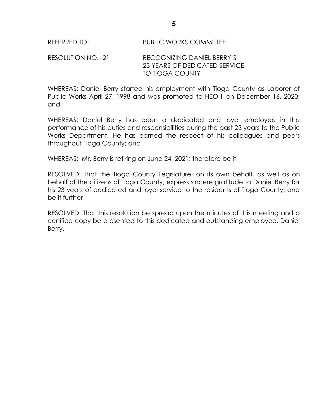#### RESOLUTION NO. -21 RECOGNIZING DANIEL BERRY'S 23 YEARS OF DEDICATED SERVICE TO TIOGA COUNTY

WHEREAS: Daniel Berry started his employment with Tioga County as Laborer of Public Works April 27, 1998 and was promoted to HEO II on December 16, 2020; and

WHEREAS: Daniel Berry has been a dedicated and loyal employee in the performance of his duties and responsibilities during the past 23 years to the Public Works Department. He has earned the respect of his colleagues and peers throughout Tioga County; and

WHEREAS: Mr. Berry is retiring on June 24, 2021; therefore be it

RESOLVED: That the Tioga County Legislature, on its own behalf, as well as on behalf of the citizens of Tioga County, express sincere gratitude to Daniel Berry for his 23 years of dedicated and loyal service to the residents of Tioga County; and be it further

RESOLVED: That this resolution be spread upon the minutes of this meeting and a certified copy be presented to this dedicated and outstanding employee, Daniel Berry.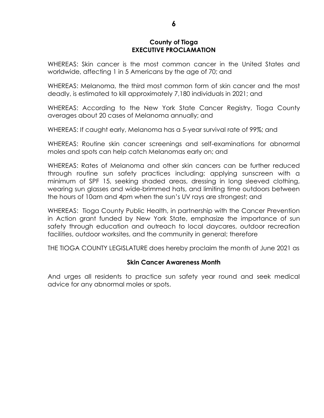#### **County of Tioga EXECUTIVE PROCLAMATION**

WHEREAS: Skin cancer is the most common cancer in the United States and worldwide, affecting 1 in 5 Americans by the age of 70; and

WHEREAS: Melanoma, the third most common form of skin cancer and the most deadly, is estimated to kill approximately 7,180 individuals in 2021; and

WHEREAS: According to the New York State Cancer Registry, Tioga County averages about 20 cases of Melanoma annually; and

WHEREAS: If caught early, Melanoma has a 5-year survival rate of 99%; and

WHEREAS: Routine skin cancer screenings and self-examinations for abnormal moles and spots can help catch Melanomas early on; and

WHEREAS: Rates of Melanoma and other skin cancers can be further reduced through routine sun safety practices including: applying sunscreen with a minimum of SPF 15, seeking shaded areas, dressing in long sleeved clothing, wearing sun glasses and wide-brimmed hats, and limiting time outdoors between the hours of 10am and 4pm when the sun's UV rays are strongest; and

WHEREAS: Tioga County Public Health, in partnership with the Cancer Prevention in Action grant funded by New York State, emphasize the importance of sun safety through education and outreach to local daycares, outdoor recreation facilities, outdoor worksites, and the community in general; therefore

THE TIOGA COUNTY LEGISLATURE does hereby proclaim the month of June 2021 as

#### **Skin Cancer Awareness Month**

And urges all residents to practice sun safety year round and seek medical advice for any abnormal moles or spots.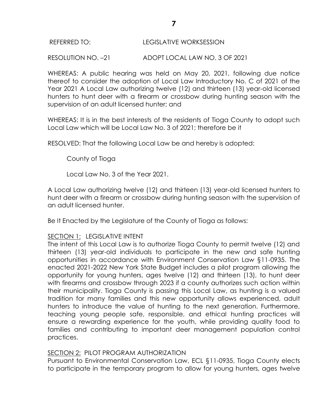#### REFERRED TO: LEGISLATIVE WORKSESSION

RESOLUTION NO. –21 ADOPT LOCAL LAW NO. 3 OF 2021

WHEREAS: A public hearing was held on May 20, 2021, following due notice thereof to consider the adoption of Local Law Introductory No. C of 2021 of the Year 2021 A Local Law authorizing twelve (12) and thirteen (13) year-old licensed hunters to hunt deer with a firearm or crossbow during hunting season with the supervision of an adult licensed hunter; and

WHEREAS: It is in the best interests of the residents of Tioga County to adopt such Local Law which will be Local Law No. 3 of 2021; therefore be it

RESOLVED: That the following Local Law be and hereby is adopted:

County of Tioga

Local Law No. 3 of the Year 2021.

A Local Law authorizing twelve (12) and thirteen (13) year-old licensed hunters to hunt deer with a firearm or crossbow during hunting season with the supervision of an adult licensed hunter.

Be It Enacted by the Legislature of the County of Tioga as follows:

# SECTION 1: LEGISLATIVE INTENT

The intent of this Local Law is to authorize Tioga County to permit twelve (12) and thirteen (13) year-old individuals to participate in the new and safe hunting opportunities in accordance with Environment Conservation Law §11-0935. The enacted 2021-2022 New York State Budget includes a pilot program allowing the opportunity for young hunters, ages twelve (12) and thirteen (13), to hunt deer with firearms and crossbow through 2023 if a county authorizes such action within their municipality. Tioga County is passing this Local Law, as hunting is a valued tradition for many families and this new opportunity allows experienced, adult hunters to introduce the value of hunting to the next generation. Furthermore, teaching young people safe, responsible, and ethical hunting practices will ensure a rewarding experience for the youth, while providing quality food to families and contributing to important deer management population control practices.

#### SECTION 2: PILOT PROGRAM AUTHORIZATION

Pursuant to Environmental Conservation Law, ECL §11-0935, Tioga County elects to participate in the temporary program to allow for young hunters, ages twelve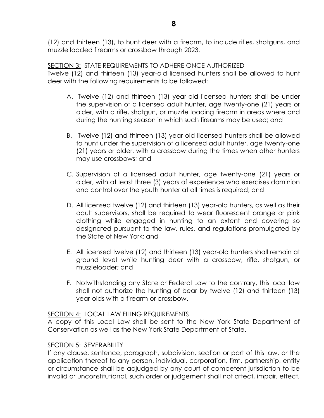SECTION 3: STATE REQUIREMENTS TO ADHERE ONCE AUTHORIZED Twelve (12) and thirteen (13) year-old licensed hunters shall be allowed to hunt deer with the following requirements to be followed:

- A. Twelve (12) and thirteen (13) year-old licensed hunters shall be under the supervision of a licensed adult hunter, age twenty-one (21) years or older, with a rifle, shotgun, or muzzle loading firearm in areas where and during the hunting season in which such firearms may be used; and
- B. Twelve (12) and thirteen (13) year-old licensed hunters shall be allowed to hunt under the supervision of a licensed adult hunter, age twenty-one (21) years or older, with a crossbow during the times when other hunters may use crossbows; and
- C. Supervision of a licensed adult hunter, age twenty-one (21) years or older, with at least three (3) years of experience who exercises dominion and control over the youth hunter at all times is required; and
- D. All licensed twelve (12) and thirteen (13) year-old hunters, as well as their adult supervisors, shall be required to wear fluorescent orange or pink clothing while engaged in hunting to an extent and covering so designated pursuant to the law, rules, and regulations promulgated by the State of New York; and
- E. All licensed twelve (12) and thirteen (13) year-old hunters shall remain at ground level while hunting deer with a crossbow, rifle, shotgun, or muzzleloader; and
- F. Notwithstanding any State or Federal Law to the contrary, this local law shall not authorize the hunting of bear by twelve (12) and thirteen (13) year-olds with a firearm or crossbow.

# SECTION 4: LOCAL LAW FILING REQUIREMENTS

A copy of this Local Law shall be sent to the New York State Department of Conservation as well as the New York State Department of State.

# SECTION 5: SEVERABILITY

If any clause, sentence, paragraph, subdivision, section or part of this law, or the application thereof to any person, individual, corporation, firm, partnership, entity or circumstance shall be adjudged by any court of competent jurisdiction to be invalid or unconstitutional, such order or judgement shall not affect, impair, effect,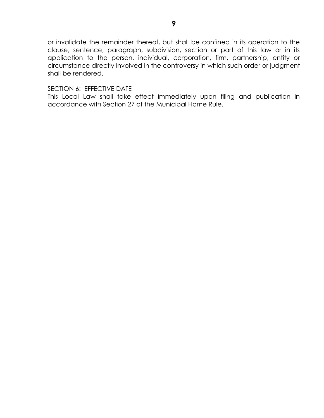or invalidate the remainder thereof, but shall be confined in its operation to the clause, sentence, paragraph, subdivision, section or part of this law or in its application to the person, individual, corporation, firm, partnership, entity or circumstance directly involved in the controversy in which such order or judgment shall be rendered.

# SECTION 6: EFFECTIVE DATE

This Local Law shall take effect immediately upon filing and publication in accordance with Section 27 of the Municipal Home Rule.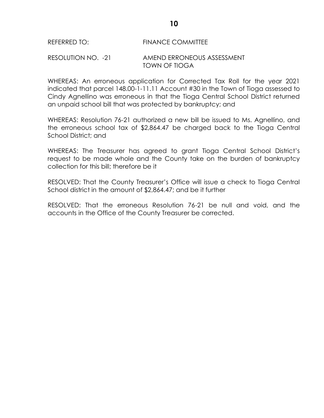#### REFERRED TO: FINANCE COMMITTEE

#### RESOLUTION NO. -21 AMEND ERRONEOUS ASSESSMENT TOWN OF TIOGA

WHEREAS: An erroneous application for Corrected Tax Roll for the year 2021 indicated that parcel 148.00-1-11.11 Account #30 in the Town of Tioga assessed to Cindy Agnellino was erroneous in that the Tioga Central School District returned an unpaid school bill that was protected by bankruptcy; and

WHEREAS: Resolution 76-21 authorized a new bill be issued to Ms. Agnellino, and the erroneous school tax of \$2,864.47 be charged back to the Tioga Central School District; and

WHEREAS: The Treasurer has agreed to grant Tioga Central School District's request to be made whole and the County take on the burden of bankruptcy collection for this bill; therefore be it

RESOLVED: That the County Treasurer's Office will issue a check to Tioga Central School district in the amount of \$2,864.47; and be it further

RESOLVED: That the erroneous Resolution 76-21 be null and void, and the accounts in the Office of the County Treasurer be corrected.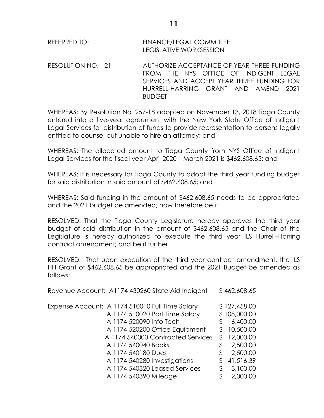RESOLUTION NO. -21 AUTHORIZE ACCEPTANCE OF YEAR THREE FUNDING FROM THE NYS OFFICE OF INDIGENT LEGAL SERVICES AND ACCEPT YEAR THREE FUNDING FOR HURRELL-HARRING GRANT AND AMEND 2021 BUDGET

WHEREAS: By Resolution No. 257-18 adopted on November 13, 2018 Tioga County entered into a five-year agreement with the New York State Office of Indigent Legal Services for distribution of funds to provide representation to persons legally entitled to counsel but unable to hire an attorney; and

WHEREAS: The allocated amount to Tioga County from NYS Office of Indigent Legal Services for the fiscal year April 2020 – March 2021 is \$462,608.65; and

WHEREAS: It is necessary for Tioga County to adopt the third year funding budget for said distribution in said amount of \$462,608.65; and

WHEREAS: Said funding in the amount of \$462,608.65 needs to be appropriated and the 2021 budget be amended; now therefore be it

RESOLVED: That the Tioga County Legislature hereby approves the third year budget of said distribution in the amount of \$462,608.65 and the Chair of the Legislature is hereby authorized to execute the third year ILS Hurrell–Harring contract amendment; and be it further

RESOLVED: That upon execution of the third year contract amendment, the ILS HH Grant of \$462,608.65 be appropriated and the 2021 Budget be amended as follows:

|    | \$462,608.65 |
|----|--------------|
|    | \$127,458.00 |
|    | \$108,000.00 |
|    | 6,400.00     |
|    | 10,500.00    |
| S  | 12,000.00    |
| \$ | 2,500.00     |
| \$ | 2,500.00     |
|    | 41,516.39    |
| \$ | 3,100.00     |
|    | 2,000.00     |
|    |              |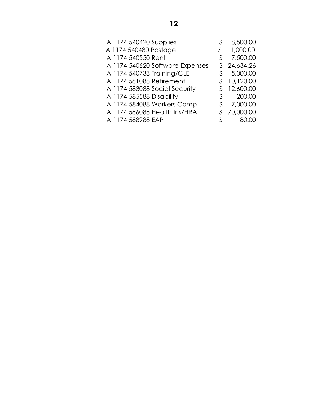| A 1174 540420 Supplies          | \$<br>8,500.00 |
|---------------------------------|----------------|
| A 1174 540480 Postage           | 1,000.00       |
| A 1174 540550 Rent              | \$<br>7,500.00 |
| A 1174 540620 Software Expenses | 24,634.26      |
| A 1174 540733 Training/CLE      | \$<br>5,000.00 |
| A 1174 581088 Retirement        | 10,120.00      |
| A 1174 583088 Social Security   | 12,600.00      |
| A 1174 585588 Disability        | \$<br>200.00   |
| A 1174 584088 Workers Comp      | \$<br>7,000.00 |
| A 1174 586088 Health Ins/HRA    | 70,000.00      |
| A 1174 588988 EAP               | \$<br>80.00    |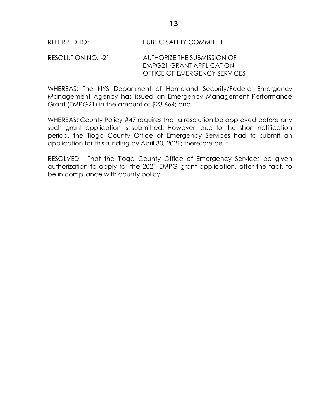#### RESOLUTION NO. -21 AUTHORIZE THE SUBMISSION OF EMPG21 GRANT APPLICATION OFFICE OF EMERGENCY SERVICES

WHEREAS: The NYS Department of Homeland Security/Federal Emergency Management Agency has issued an Emergency Management Performance Grant (EMPG21) in the amount of \$23,664; and

WHEREAS: County Policy #47 requires that a resolution be approved before any such grant application is submitted. However, due to the short notification period, the Tioga County Office of Emergency Services had to submit an application for this funding by April 30, 2021; therefore be it

RESOLVED: That the Tioga County Office of Emergency Services be given authorization to apply for the 2021 EMPG grant application, after the fact, to be in compliance with county policy.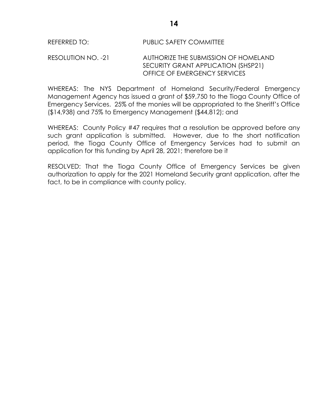#### REFERRED TO: PUBLIC SAFETY COMMITTEE

#### RESOLUTION NO. -21 AUTHORIZE THE SUBMISSION OF HOMELAND SECURITY GRANT APPLICATION (SHSP21) OFFICE OF EMERGENCY SERVICES

WHEREAS: The NYS Department of Homeland Security/Federal Emergency Management Agency has issued a grant of \$59,750 to the Tioga County Office of Emergency Services. 25% of the monies will be appropriated to the Sheriff's Office (\$14,938) and 75% to Emergency Management (\$44,812); and

WHEREAS: County Policy #47 requires that a resolution be approved before any such grant application is submitted. However, due to the short notification period, the Tioga County Office of Emergency Services had to submit an application for this funding by April 28, 2021; therefore be it

RESOLVED: That the Tioga County Office of Emergency Services be given authorization to apply for the 2021 Homeland Security grant application, after the fact, to be in compliance with county policy.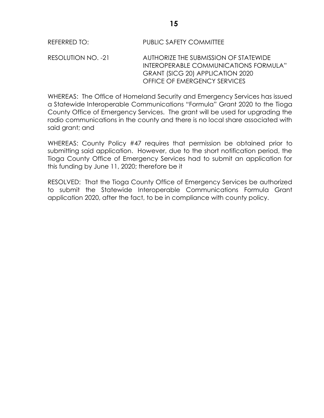RESOLUTION NO. -21 AUTHORIZE THE SUBMISSION OF STATEWIDE INTEROPERABLE COMMUNICATIONS FORMULA" GRANT (SICG 20) APPLICATION 2020 OFFICE OF EMERGENCY SERVICES

WHEREAS: The Office of Homeland Security and Emergency Services has issued a Statewide Interoperable Communications "Formula" Grant 2020 to the Tioga County Office of Emergency Services. The grant will be used for upgrading the radio communications in the county and there is no local share associated with said grant; and

WHEREAS: County Policy #47 requires that permission be obtained prior to submitting said application. However, due to the short notification period, the Tioga County Office of Emergency Services had to submit an application for this funding by June 11, 2020; therefore be it

RESOLVED: That the Tioga County Office of Emergency Services be authorized to submit the Statewide Interoperable Communications Formula Grant application 2020, after the fact, to be in compliance with county policy.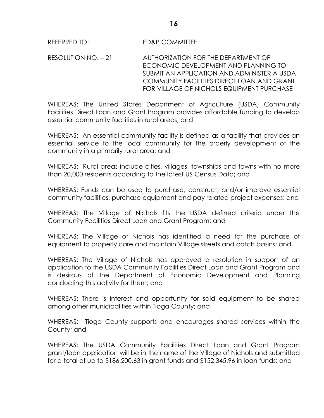RESOLUTION NO. – 21 AUTHORIZATION FOR THE DEPARTMENT OF ECONOMIC DEVELOPMENT AND PLANNING TO SUBMIT AN APPLICATION AND ADMINISTER A USDA COMMUNITY FACILITIES DIRECT LOAN AND GRANT FOR VILLAGE OF NICHOLS EQUIPMENT PURCHASE

WHEREAS: The United States Department of Agriculture (USDA) Community Facilities Direct Loan and Grant Program provides affordable funding to develop essential community facilities in rural areas; and

WHEREAS: An essential community facility is defined as a facility that provides an essential service to the local community for the orderly development of the community in a primarily rural area; and

WHEREAS: Rural areas include cities, villages, townships and towns with no more than 20,000 residents according to the latest US Census Data; and

WHEREAS: Funds can be used to purchase, construct, and/or improve essential community facilities, purchase equipment and pay related project expenses; and

WHEREAS: The Village of Nichols fits the USDA defined criteria under the Community Facilities Direct Loan and Grant Program; and

WHEREAS: The Village of Nichols has identified a need for the purchase of equipment to properly care and maintain Village streets and catch basins; and

WHEREAS: The Village of Nichols has approved a resolution in support of an application to the USDA Community Facilities Direct Loan and Grant Program and is desirous of the Department of Economic Development and Planning conducting this activity for them; and

WHEREAS: There is interest and opportunity for said equipment to be shared among other municipalities within Tioga County; and

WHEREAS: Tioga County supports and encourages shared services within the County; and

WHEREAS: The USDA Community Facilities Direct Loan and Grant Program grant/loan application will be in the name of the Village of Nichols and submitted for a total of up to \$186,200.63 in grant funds and \$152,345.96 in loan funds: and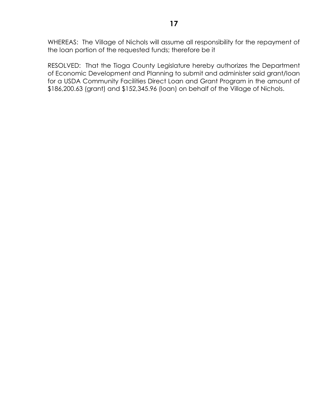WHEREAS: The Village of Nichols will assume all responsibility for the repayment of the loan portion of the requested funds; therefore be it

RESOLVED: That the Tioga County Legislature hereby authorizes the Department of Economic Development and Planning to submit and administer said grant/loan for a USDA Community Facilities Direct Loan and Grant Program in the amount of \$186,200.63 (grant) and \$152,345.96 (loan) on behalf of the Village of Nichols.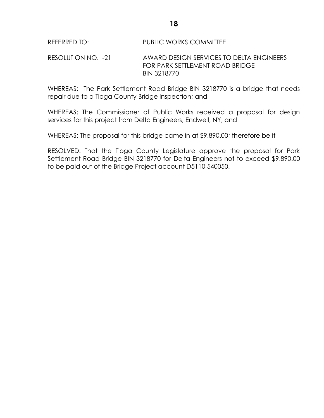RESOLUTION NO. -21 AWARD DESIGN SERVICES TO DELTA ENGINEERS FOR PARK SETTLEMENT ROAD BRIDGE BIN 3218770

WHEREAS: The Park Settlement Road Bridge BIN 3218770 is a bridge that needs repair due to a Tioga County Bridge inspection; and

WHEREAS: The Commissioner of Public Works received a proposal for design services for this project from Delta Engineers, Endwell, NY; and

WHEREAS: The proposal for this bridge came in at \$9,890.00; therefore be it

RESOLVED: That the Tioga County Legislature approve the proposal for Park Settlement Road Bridge BIN 3218770 for Delta Engineers not to exceed \$9,890.00 to be paid out of the Bridge Project account D5110 540050.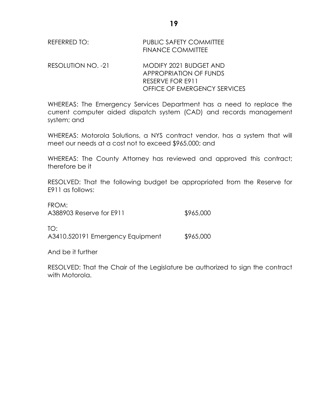| REFERRED TO: | <b>PUBLIC SAFETY COMMITTEE</b> |
|--------------|--------------------------------|
|              | <b>FINANCE COMMITTEE</b>       |

RESOLUTION NO. -21 MODIFY 2021 BUDGET AND APPROPRIATION OF FUNDS RESERVE FOR E911 OFFICE OF EMERGENCY SERVICES

WHEREAS: The Emergency Services Department has a need to replace the current computer aided dispatch system (CAD) and records management system; and

WHEREAS: Motorola Solutions, a NYS contract vendor, has a system that will meet our needs at a cost not to exceed \$965,000; and

WHEREAS: The County Attorney has reviewed and approved this contract; therefore be it

RESOLVED: That the following budget be appropriated from the Reserve for E911 as follows:

| FROM:<br>A388903 Reserve for E911       | \$965,000 |
|-----------------------------------------|-----------|
| TO:<br>A3410.520191 Emergency Equipment | \$965,000 |

And be it further

 $F_{\rm B}$  $\sim$ 

RESOLVED: That the Chair of the Legislature be authorized to sign the contract with Motorola.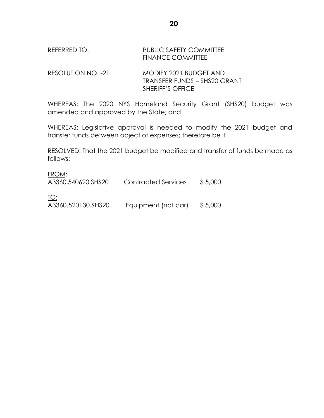## REFERRED TO: PUBLIC SAFETY COMMITTEE FINANCE COMMITTEE

RESOLUTION NO. -21 MODIFY 2021 BUDGET AND TRANSFER FUNDS – SHS20 GRANT SHERIFF'S OFFICE

WHEREAS: The 2020 NYS Homeland Security Grant (SHS20) budget was amended and approved by the State; and

WHEREAS: Legislative approval is needed to modify the 2021 budget and transfer funds between object of expenses; therefore be it

RESOLVED: That the 2021 budget be modified and transfer of funds be made as follows:

#### FROM:

| A3360.540620.SHS20 | Contracted Services | \$5,000 |
|--------------------|---------------------|---------|
| TO:                |                     |         |
| A3360.520130.SHS20 | Equipment (not car) | \$5,000 |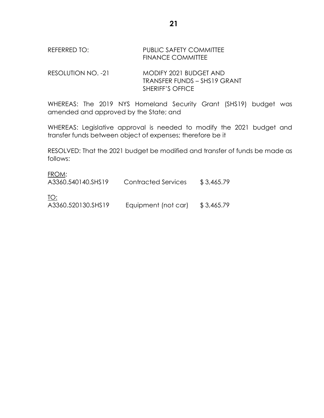## REFERRED TO: PUBLIC SAFETY COMMITTEE FINANCE COMMITTEE

RESOLUTION NO. -21 MODIFY 2021 BUDGET AND TRANSFER FUNDS – SHS19 GRANT SHERIFF'S OFFICE

WHEREAS: The 2019 NYS Homeland Security Grant (SHS19) budget was amended and approved by the State; and

WHEREAS: Legislative approval is needed to modify the 2021 budget and transfer funds between object of expenses; therefore be it

RESOLVED: That the 2021 budget be modified and transfer of funds be made as follows:

#### FROM:

| A3360.540140.SHS19 | Contracted Services | \$3,465.79 |
|--------------------|---------------------|------------|
| TO:                |                     |            |
| A3360.520130.SHS19 | Equipment (not car) | \$3,465.79 |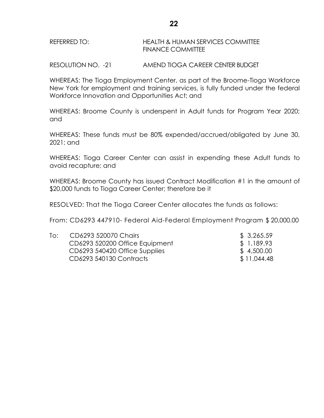RESOLUTION NO. -21 AMEND TIOGA CAREER CENTER BUDGET

WHEREAS: The Tioga Employment Center, as part of the Broome-Tioga Workforce New York for employment and training services, is fully funded under the federal Workforce Innovation and Opportunities Act; and

WHEREAS: Broome County is underspent in Adult funds for Program Year 2020; and

WHEREAS: These funds must be 80% expended/accrued/obligated by June 30, 2021; and

WHEREAS: Tioga Career Center can assist in expending these Adult funds to avoid recapture; and

WHEREAS: Broome County has issued Contract Modification #1 in the amount of \$20,000 funds to Tioga Career Center; therefore be it

RESOLVED: That the Tioga Career Center allocates the funds as follows:

From: CD6293 447910- Federal Aid-Federal Employment Program \$ 20,000.00

| To: | CD6293 520070 Chairs           | \$3,265.59  |
|-----|--------------------------------|-------------|
|     | CD6293 520200 Office Equipment | \$1,189.93  |
|     | CD6293 540420 Office Supplies  | \$4,500.00  |
|     | CD6293 540130 Contracts        | \$11,044.48 |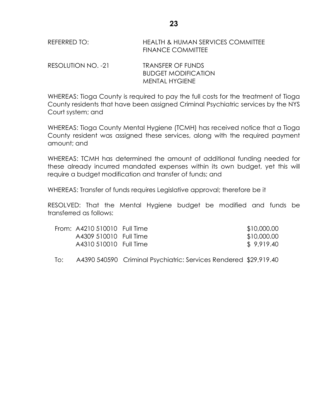REFERRED TO: HEALTH & HUMAN SERVICES COMMITTEE FINANCE COMMITTEE

| RESOLUTION NO. -21 | <b>TRANSFER OF FUNDS</b>   |
|--------------------|----------------------------|
|                    | <b>BUDGET MODIFICATION</b> |
|                    | MENTAL HYGIENE             |

WHEREAS: Tioga County is required to pay the full costs for the treatment of Tioga County residents that have been assigned Criminal Psychiatric services by the NYS Court system; and

WHEREAS: Tioga County Mental Hygiene (TCMH) has received notice that a Tioga County resident was assigned these services, along with the required payment amount; and

WHEREAS: TCMH has determined the amount of additional funding needed for these already incurred mandated expenses within its own budget, yet this will require a budget modification and transfer of funds; and

WHEREAS: Transfer of funds requires Legislative approval; therefore be it

RESOLVED: That the Mental Hygiene budget be modified and funds be transferred as follows:

| From: A4210 510010 Full Time | \$10,000.00 |
|------------------------------|-------------|
| A4309 510010 Full Time       | \$10,000.00 |
| A4310 510010 Full Time       | \$9,919.40  |

To: A4390 540590 Criminal Psychiatric: Services Rendered \$29,919.40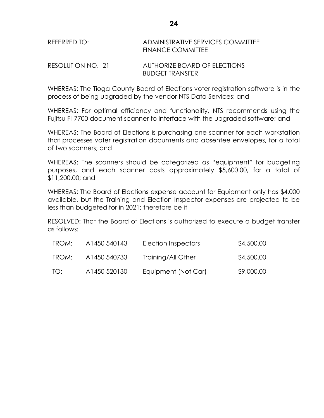# REFERRED TO: ADMINISTRATIVE SERVICES COMMITTEE FINANCE COMMITTEE

#### RESOLUTION NO. -21 AUTHORIZE BOARD OF ELECTIONS BUDGET TRANSFER

WHEREAS: The Tioga County Board of Elections voter registration software is in the process of being upgraded by the vendor NTS Data Services; and

WHEREAS: For optimal efficiency and functionality, NTS recommends using the Fujitsu FI-7700 document scanner to interface with the upgraded software; and

WHEREAS: The Board of Elections is purchasing one scanner for each workstation that processes voter registration documents and absentee envelopes, for a total of two scanners; and

WHEREAS: The scanners should be categorized as "equipment" for budgeting purposes, and each scanner costs approximately \$5,600.00, for a total of \$11,200.00; and

WHEREAS: The Board of Elections expense account for Equipment only has \$4,000 available, but the Training and Election Inspector expenses are projected to be less than budgeted for in 2021; therefore be it

RESOLVED: That the Board of Elections is authorized to execute a budget transfer as follows:

| FROM: | A1450 540143             | Election Inspectors | \$4,500.00 |
|-------|--------------------------|---------------------|------------|
| FROM: | A <sub>1450</sub> 540733 | Training/All Other  | \$4,500.00 |
| TO:   | A1450 520130             | Equipment (Not Car) | \$9,000.00 |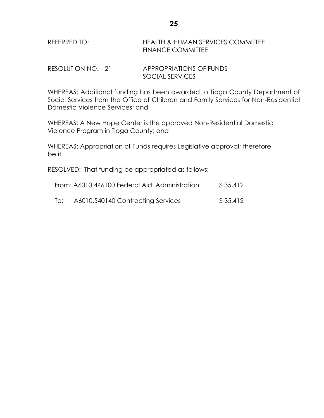| REFERRED TO: | <b>HEALTH &amp; HUMAN SERVICES COMMITTEE</b> |
|--------------|----------------------------------------------|
|              | <b>FINANCE COMMITTEE</b>                     |

RESOLUTION NO. - 21 APPROPRIATIONS OF FUNDS SOCIAL SERVICES

WHEREAS: Additional funding has been awarded to Tioga County Department of Social Services from the Office of Children and Family Services for Non-Residential Domestic Violence Services; and

WHEREAS: A New Hope Center is the approved Non-Residential Domestic Violence Program in Tioga County; and

WHEREAS: Appropriation of Funds requires Legislative approval; therefore be it

RESOLVED: That funding be appropriated as follows:

| From: A6010.446100 Federal Aid: Administration | \$35,412 |
|------------------------------------------------|----------|
|                                                |          |

To: A6010.540140 Contracting Services \$ 35,412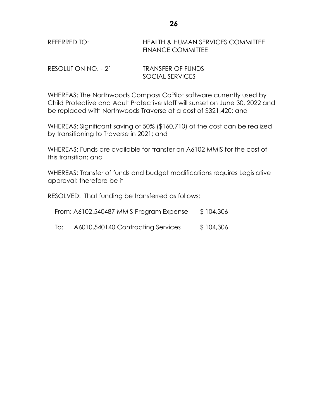| REFERRED TO: | HEALTH & HUMAN SERVICES COMMITTEE |
|--------------|-----------------------------------|
|              | <b>FINANCE COMMITTEE</b>          |

| RESOLUTION NO. - 21 | <b>TRANSFER OF FUNDS</b> |
|---------------------|--------------------------|
|                     | SOCIAL SERVICES          |

WHEREAS: The Northwoods Compass CoPilot software currently used by Child Protective and Adult Protective staff will sunset on June 30, 2022 and be replaced with Northwoods Traverse at a cost of \$321,420; and

WHEREAS: Significant saving of 50% (\$160,710) of the cost can be realized by transitioning to Traverse in 2021; and

WHEREAS: Funds are available for transfer on A6102 MMIS for the cost of this transition; and

WHEREAS: Transfer of funds and budget modifications requires Legislative approval; therefore be it

RESOLVED: That funding be transferred as follows:

| From: A6102.540487 MMIS Program Expense | \$104,306 |
|-----------------------------------------|-----------|
|-----------------------------------------|-----------|

To: A6010.540140 Contracting Services \$ 104,306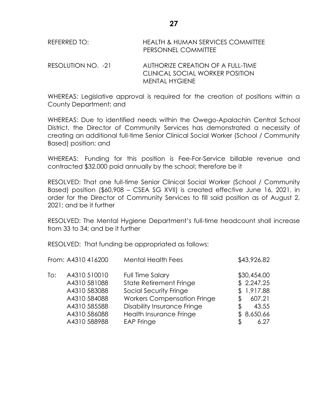| REFERRED TO:       | <b>HEALTH &amp; HUMAN SERVICES COMMITTEE</b><br>PERSONNEL COMMITTEE |
|--------------------|---------------------------------------------------------------------|
| RESOLUTION NO. -21 | AUTHORIZE CREATION OF A FULL-TIME                                   |

WHEREAS: Legislative approval is required for the creation of positions within a County Department; and

MENTAL HYGIENE

CLINICAL SOCIAL WORKER POSITION

WHEREAS: Due to identified needs within the Owego-Apalachin Central School District, the Director of Community Services has demonstrated a necessity of creating an additional full-time Senior Clinical Social Worker (School / Community Based) position; and

WHEREAS: Funding for this position is Fee-For-Service billable revenue and contracted \$32,000 paid annually by the school; therefore be it

RESOLVED: That one full-time Senior Clinical Social Worker (School / Community Based) position (\$60,908 – CSEA SG XVII) is created effective June 16, 2021, in order for the Director of Community Services to fill said position as of August 2, 2021; and be it further

RESOLVED: The Mental Hygiene Department's full-time headcount shall increase from 33 to 34; and be it further

RESOLVED: That funding be appropriated as follows:

|     | From: A4310 416200                                                                           | <b>Mental Health Fees</b>                                                                                                                                                           |          | \$43,926.82                                                              |
|-----|----------------------------------------------------------------------------------------------|-------------------------------------------------------------------------------------------------------------------------------------------------------------------------------------|----------|--------------------------------------------------------------------------|
| To: | A4310 510010<br>A4310 581088<br>A4310 583088<br>A4310 584088<br>A4310 585588<br>A4310 586088 | Full Time Salary<br><b>State Retirement Fringe</b><br>Social Security Fringe<br><b>Workers Compensation Fringe</b><br><b>Disability Insurance Fringe</b><br>Health Insurance Fringe | Æ.<br>\$ | \$30,454.00<br>\$2,247.25<br>\$1,917.88<br>607.21<br>43.55<br>\$8,650.66 |
|     | A4310 588988                                                                                 | <b>EAP Fringe</b>                                                                                                                                                                   |          | 6.27                                                                     |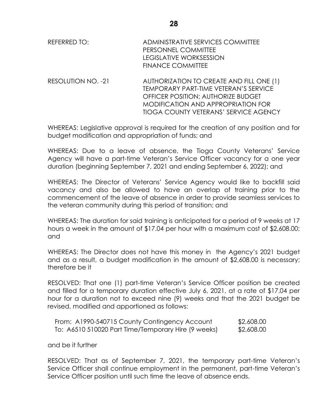| REFERRED TO: | ADMINISTRATIVE SERVICES COMMITTEE |
|--------------|-----------------------------------|
|              | PERSONNEL COMMITTEE               |
|              | LEGISLATIVE WORKSESSION           |
|              | <b>FINANCE COMMITTEE</b>          |

RESOLUTION NO. -21 AUTHORIZATION TO CREATE AND FILL ONE (1) TEMPORARY PART-TIME VETERAN'S SERVICE OFFICER POSITION; AUTHORIZE BUDGET MODIFICATION AND APPROPRIATION FOR TIOGA COUNTY VETERANS' SERVICE AGENCY

WHEREAS: Legislative approval is required for the creation of any position and for budget modification and appropriation of funds; and

WHEREAS: Due to a leave of absence, the Tioga County Veterans' Service Agency will have a part-time Veteran's Service Officer vacancy for a one year duration (beginning September 7, 2021 and ending September 6, 2022); and

WHEREAS: The Director of Veterans' Service Agency would like to backfill said vacancy and also be allowed to have an overlap of training prior to the commencement of the leave of absence in order to provide seamless services to the veteran community during this period of transition; and

WHEREAS: The duration for said training is anticipated for a period of 9 weeks at 17 hours a week in the amount of \$17.04 per hour with a maximum cost of \$2,608.00; and

WHEREAS: The Director does not have this money in the Agency's 2021 budget and as a result, a budget modification in the amount of \$2,608.00 is necessary; therefore be it

RESOLVED: That one (1) part-time Veteran's Service Officer position be created and filled for a temporary duration effective July 6, 2021, at a rate of \$17.04 per hour for a duration not to exceed nine (9) weeks and that the 2021 budget be revised, modified and apportioned as follows:

| From: A1990-540715 County Contingency Account       | \$2,608.00 |
|-----------------------------------------------------|------------|
| To: A6510 510020 Part Time/Temporary Hire (9 weeks) | \$2,608.00 |

and be it further

RESOLVED: That as of September 7, 2021, the temporary part-time Veteran's Service Officer shall continue employment in the permanent, part-time Veteran's Service Officer position until such time the leave of absence ends.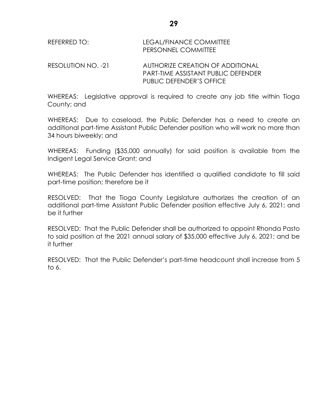| REFERRED TO:       | LEGAL/FINANCE COMMITTEE<br>PERSONNEL COMMITTEE |
|--------------------|------------------------------------------------|
| RESOLUTION NO. -21 | AUTHORIZE CREATION OF ADDITIONAL               |

PART-TIME ASSISTANT PUBLIC DEFENDER PUBLIC DEFENDER'S OFFICE

WHEREAS: Legislative approval is required to create any job title within Tioga County; and

WHEREAS: Due to caseload, the Public Defender has a need to create an additional part-time Assistant Public Defender position who will work no more than 34 hours biweekly; and

WHEREAS: Funding (\$35,000 annually) for said position is available from the Indigent Legal Service Grant; and

WHEREAS: The Public Defender has identified a qualified candidate to fill said part-time position; therefore be it

RESOLVED: That the Tioga County Legislature authorizes the creation of an additional part-time Assistant Public Defender position effective July 6, 2021; and be it further

RESOLVED: That the Public Defender shall be authorized to appoint Rhonda Pasto to said position at the 2021 annual salary of \$35,000 effective July 6, 2021; and be it further

RESOLVED: That the Public Defender's part-time headcount shall increase from 5 to 6.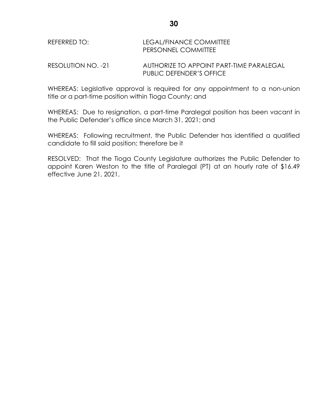## REFERRED TO: LEGAL/FINANCE COMMITTEE PERSONNEL COMMITTEE

RESOLUTION NO. -21 AUTHORIZE TO APPOINT PART-TIME PARALEGAL PUBLIC DEFENDER'S OFFICE

WHEREAS: Legislative approval is required for any appointment to a non-union title or a part-time position within Tioga County; and

WHEREAS: Due to resignation, a part-time Paralegal position has been vacant in the Public Defender's office since March 31, 2021; and

WHEREAS: Following recruitment, the Public Defender has identified a qualified candidate to fill said position; therefore be it

RESOLVED: That the Tioga County Legislature authorizes the Public Defender to appoint Karen Weston to the title of Paralegal (PT) at an hourly rate of \$16.49 effective June 21, 2021.